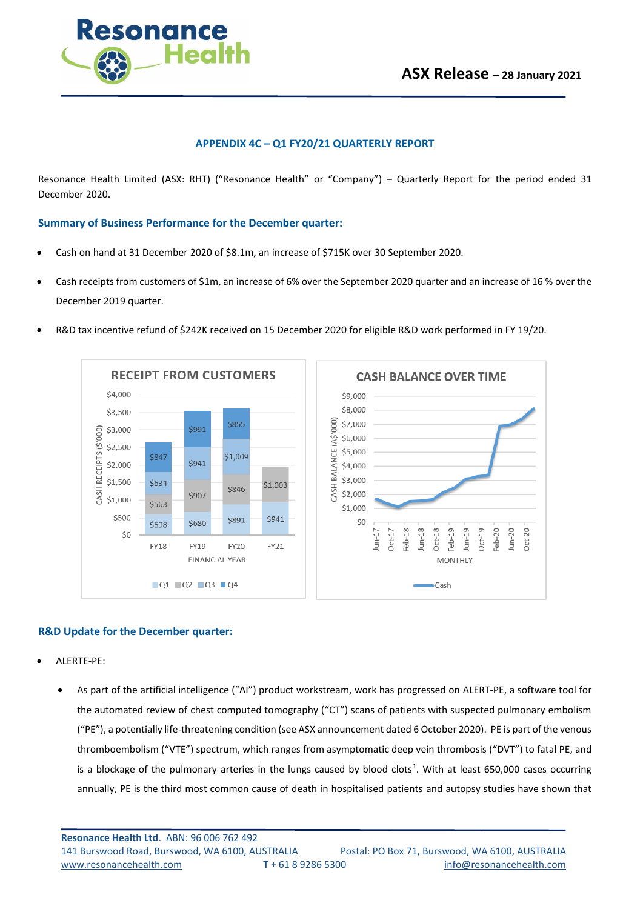

## **APPENDIX 4C – Q1 FY20/21 QUARTERLY REPORT**

Resonance Health Limited (ASX: RHT) ("Resonance Health" or "Company") – Quarterly Report for the period ended 31 December 2020.

**Summary of Business Performance for the December quarter:**

- Cash on hand at 31 December 2020 of \$8.1m, an increase of \$715K over 30 September 2020.
- Cash receipts from customers of \$1m, an increase of 6% over the September 2020 quarter and an increase of 16 % over the December 2019 quarter.
- R&D tax incentive refund of \$242K received on 15 December 2020 for eligible R&D work performed in FY 19/20.





### **R&D Update for the December quarter:**

- ALERTE-PE:
	- As part of the artificial intelligence ("AI") product workstream, work has progressed on ALERT-PE, a software tool for the automated review of chest computed tomography ("CT") scans of patients with suspected pulmonary embolism ("PE"), a potentially life-threatening condition (see ASX announcement dated 6 October 2020). PE is part of the venous thromboembolism ("VTE") spectrum, which ranges from asymptomatic deep vein thrombosis ("DVT") to fatal PE, and is a blockage of the pulmonary arteries in the lungs caused by blood clots<sup>1</sup>. With at least 650,000 cases occurring annually, PE is the third most common cause of death in hospitalised patients and autopsy studies have shown that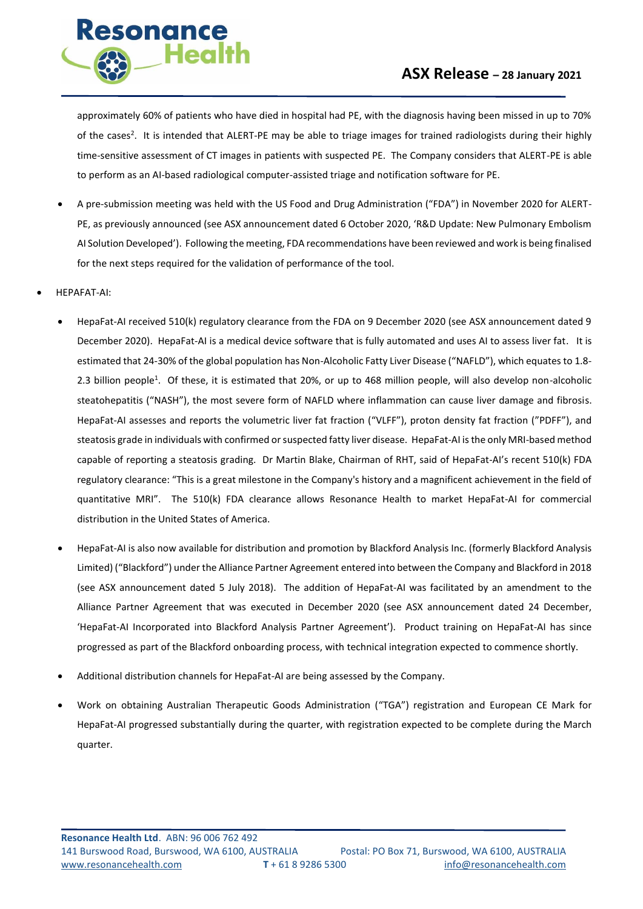

approximately 60% of patients who have died in hospital had PE, with the diagnosis having been missed in up to 70% of the cases<sup>2</sup>. It is intended that ALERT-PE may be able to triage images for trained radiologists during their highly time-sensitive assessment of CT images in patients with suspected PE. The Company considers that ALERT-PE is able to perform as an AI-based radiological computer-assisted triage and notification software for PE.

- A pre-submission meeting was held with the US Food and Drug Administration ("FDA") in November 2020 for ALERT-PE, as previously announced (see ASX announcement dated 6 October 2020, 'R&D Update: New Pulmonary Embolism AI Solution Developed'). Following the meeting, FDA recommendations have been reviewed and work is being finalised for the next steps required for the validation of performance of the tool.
- HEPAFAT-AI:

**Resonance** 

**Health** 

- HepaFat-AI received 510(k) regulatory clearance from the FDA on 9 December 2020 (see ASX announcement dated 9 December 2020). HepaFat-AI is a medical device software that is fully automated and uses AI to assess liver fat. It is estimated that 24-30% of the global population has Non-Alcoholic Fatty Liver Disease ("NAFLD"), which equates to 1.8- 2.3 billion people<sup>1</sup>. Of these, it is estimated that 20%, or up to 468 million people, will also develop non-alcoholic steatohepatitis ("NASH"), the most severe form of NAFLD where inflammation can cause liver damage and fibrosis. HepaFat-AI assesses and reports the volumetric liver fat fraction ("VLFF"), proton density fat fraction ("PDFF"), and steatosis grade in individuals with confirmed or suspected fatty liver disease. HepaFat-AI is the only MRI-based method capable of reporting a steatosis grading. Dr Martin Blake, Chairman of RHT, said of HepaFat-AI's recent 510(k) FDA regulatory clearance: "This is a great milestone in the Company's history and a magnificent achievement in the field of quantitative MRI". The 510(k) FDA clearance allows Resonance Health to market HepaFat-AI for commercial distribution in the United States of America.
- HepaFat-AI is also now available for distribution and promotion by Blackford Analysis Inc. (formerly Blackford Analysis Limited) ("Blackford") under the Alliance Partner Agreement entered into between the Company and Blackford in 2018 (see ASX announcement dated 5 July 2018). The addition of HepaFat-AI was facilitated by an amendment to the Alliance Partner Agreement that was executed in December 2020 (see ASX announcement dated 24 December, 'HepaFat-AI Incorporated into Blackford Analysis Partner Agreement'). Product training on HepaFat-AI has since progressed as part of the Blackford onboarding process, with technical integration expected to commence shortly.
- Additional distribution channels for HepaFat-AI are being assessed by the Company.
- Work on obtaining Australian Therapeutic Goods Administration ("TGA") registration and European CE Mark for HepaFat-AI progressed substantially during the quarter, with registration expected to be complete during the March quarter.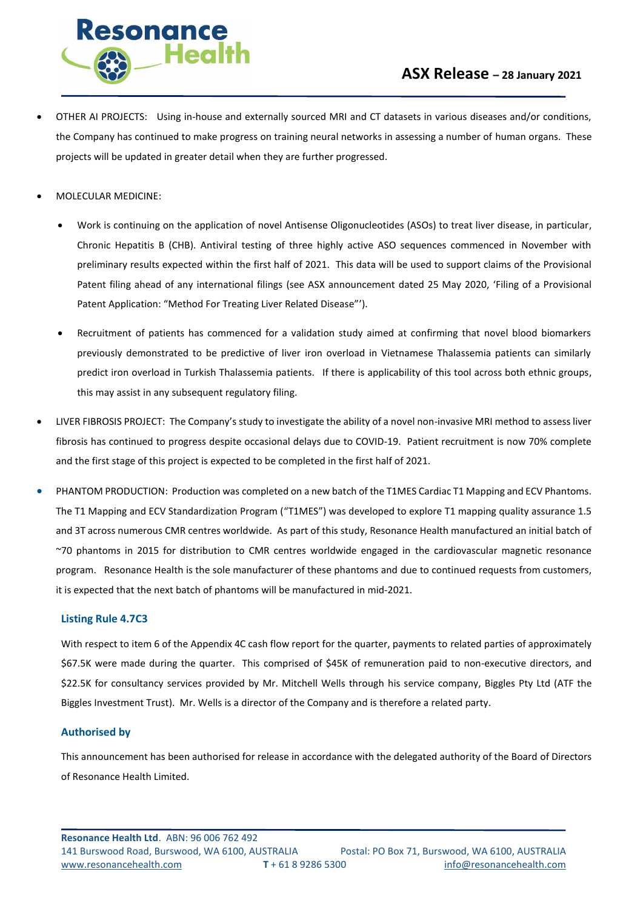

- OTHER AI PROJECTS: Using in-house and externally sourced MRI and CT datasets in various diseases and/or conditions, the Company has continued to make progress on training neural networks in assessing a number of human organs. These projects will be updated in greater detail when they are further progressed.
- MOLECULAR MEDICINE:
	- Work is continuing on the application of novel Antisense Oligonucleotides (ASOs) to treat liver disease, in particular, Chronic Hepatitis B (CHB). Antiviral testing of three highly active ASO sequences commenced in November with preliminary results expected within the first half of 2021. This data will be used to support claims of the Provisional Patent filing ahead of any international filings (see ASX announcement dated 25 May 2020, 'Filing of a Provisional Patent Application: "Method For Treating Liver Related Disease"').
	- Recruitment of patients has commenced for a validation study aimed at confirming that novel blood biomarkers previously demonstrated to be predictive of liver iron overload in Vietnamese Thalassemia patients can similarly predict iron overload in Turkish Thalassemia patients. If there is applicability of this tool across both ethnic groups, this may assist in any subsequent regulatory filing.
- LIVER FIBROSIS PROJECT: The Company's study to investigate the ability of a novel non-invasive MRI method to assess liver fibrosis has continued to progress despite occasional delays due to COVID-19. Patient recruitment is now 70% complete and the first stage of this project is expected to be completed in the first half of 2021.
- PHANTOM PRODUCTION: Production was completed on a new batch of the T1MES Cardiac T1 Mapping and ECV Phantoms. The T1 Mapping and ECV Standardization Program ("T1MES") was developed to explore T1 mapping quality assurance 1.5 and 3T across numerous CMR centres worldwide. As part of this study, Resonance Health manufactured an initial batch of ~70 phantoms in 2015 for distribution to CMR centres worldwide engaged in the cardiovascular magnetic resonance program. Resonance Health is the sole manufacturer of these phantoms and due to continued requests from customers, it is expected that the next batch of phantoms will be manufactured in mid-2021.

### **Listing Rule 4.7C3**

With respect to item 6 of the Appendix 4C cash flow report for the quarter, payments to related parties of approximately \$67.5K were made during the quarter. This comprised of \$45K of remuneration paid to non-executive directors, and \$22.5K for consultancy services provided by Mr. Mitchell Wells through his service company, Biggles Pty Ltd (ATF the Biggles Investment Trust). Mr. Wells is a director of the Company and is therefore a related party.

## **Authorised by**

This announcement has been authorised for release in accordance with the delegated authority of the Board of Directors of Resonance Health Limited.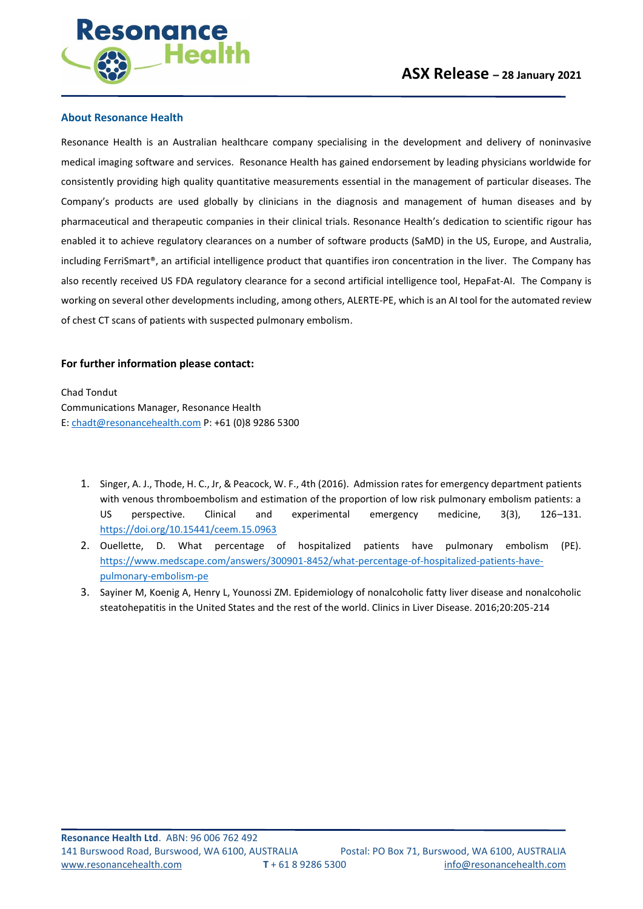

### **About Resonance Health**

Resonance Health is an Australian healthcare company specialising in the development and delivery of noninvasive medical imaging software and services. Resonance Health has gained endorsement by leading physicians worldwide for consistently providing high quality quantitative measurements essential in the management of particular diseases. The Company's products are used globally by clinicians in the diagnosis and management of human diseases and by pharmaceutical and therapeutic companies in their clinical trials. Resonance Health's dedication to scientific rigour has enabled it to achieve regulatory clearances on a number of software products (SaMD) in the US, Europe, and Australia, including FerriSmart®, an artificial intelligence product that quantifies iron concentration in the liver. The Company has also recently received US FDA regulatory clearance for a second artificial intelligence tool, HepaFat-AI. The Company is working on several other developments including, among others, ALERTE-PE, which is an AI tool for the automated review of chest CT scans of patients with suspected pulmonary embolism.

### **For further information please contact:**

Chad Tondut Communications Manager, Resonance Health E[: chadt@resonancehealth.com](mailto:chadt@resonancehealth.com) P: +61 (0)8 9286 5300

- 1. Singer, A. J., Thode, H. C., Jr, & Peacock, W. F., 4th (2016). Admission rates for emergency department patients with venous thromboembolism and estimation of the proportion of low risk pulmonary embolism patients: a US perspective. Clinical and experimental emergency medicine, 3(3), 126–131. <https://doi.org/10.15441/ceem.15.0963>
- 2. Ouellette, D. What percentage of hospitalized patients have pulmonary embolism (PE). [https://www.medscape.com/answers/300901-8452/what-percentage-of-hospitalized-patients-have](https://www.medscape.com/answers/300901-8452/what-percentage-of-hospitalized-patients-have-pulmonary-embolism-pe)[pulmonary-embolism-pe](https://www.medscape.com/answers/300901-8452/what-percentage-of-hospitalized-patients-have-pulmonary-embolism-pe)
- 3. Sayiner M, Koenig A, Henry L, Younossi ZM. Epidemiology of nonalcoholic fatty liver disease and nonalcoholic steatohepatitis in the United States and the rest of the world. Clinics in Liver Disease. 2016;20:205-214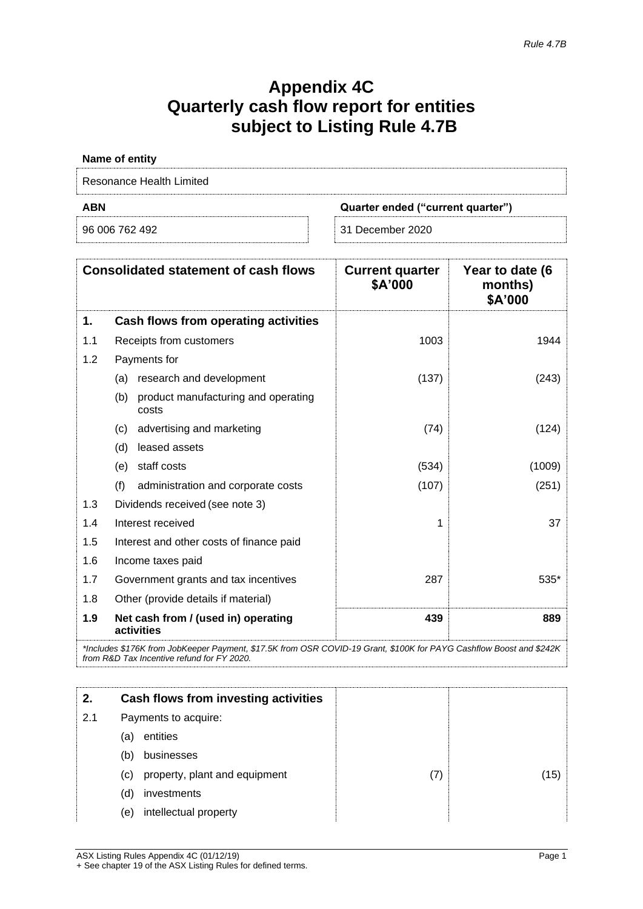# **Appendix 4C Quarterly cash flow report for entities subject to Listing Rule 4.7B**

| <b>ABN</b>               | Quarter ended ("current quarter") |
|--------------------------|-----------------------------------|
| Resonance Health Limited |                                   |
| Name of entity           |                                   |

|  | 96 006 762 492 |  |
|--|----------------|--|
|  |                |  |

31 December 2020

|     | <b>Consolidated statement of cash flows</b>         | <b>Current quarter</b><br>\$A'000 | Year to date (6<br>months)<br>\$A'000 |
|-----|-----------------------------------------------------|-----------------------------------|---------------------------------------|
| 1.  | Cash flows from operating activities                |                                   |                                       |
| 1.1 | Receipts from customers                             | 1003                              | 1944                                  |
| 1.2 | Payments for                                        |                                   |                                       |
|     | research and development<br>(a)                     | (137)                             | (243)                                 |
|     | product manufacturing and operating<br>(b)<br>costs |                                   |                                       |
|     | advertising and marketing<br>(c)                    | (74)                              | (124)                                 |
|     | leased assets<br>(d)                                |                                   |                                       |
|     | staff costs<br>(e)                                  | (534)                             | (1009)                                |
|     | (f)<br>administration and corporate costs           | (107)                             | (251)                                 |
| 1.3 | Dividends received (see note 3)                     |                                   |                                       |
| 1.4 | Interest received                                   | 1                                 | 37                                    |
| 1.5 | Interest and other costs of finance paid            |                                   |                                       |
| 1.6 | Income taxes paid                                   |                                   |                                       |
| 1.7 | Government grants and tax incentives                | 287                               | $535*$                                |
| 1.8 | Other (provide details if material)                 |                                   |                                       |
| 1.9 | Net cash from / (used in) operating<br>activities   | 439                               | 889                                   |

*\*Includes \$176K from JobKeeper Payment, \$17.5K from OSR COVID-19 Grant, \$100K for PAYG Cashflow Boost and \$242K from R&D Tax Incentive refund for FY 2020.*

|     | Cash flows from investing activities |    |
|-----|--------------------------------------|----|
| 2.1 | Payments to acquire:                 |    |
|     | entities<br>(a)                      |    |
|     | businesses<br>(b)                    |    |
|     | property, plant and equipment<br>(c) | 15 |
|     | investments<br>(d)                   |    |
|     | intellectual property<br>(e)         |    |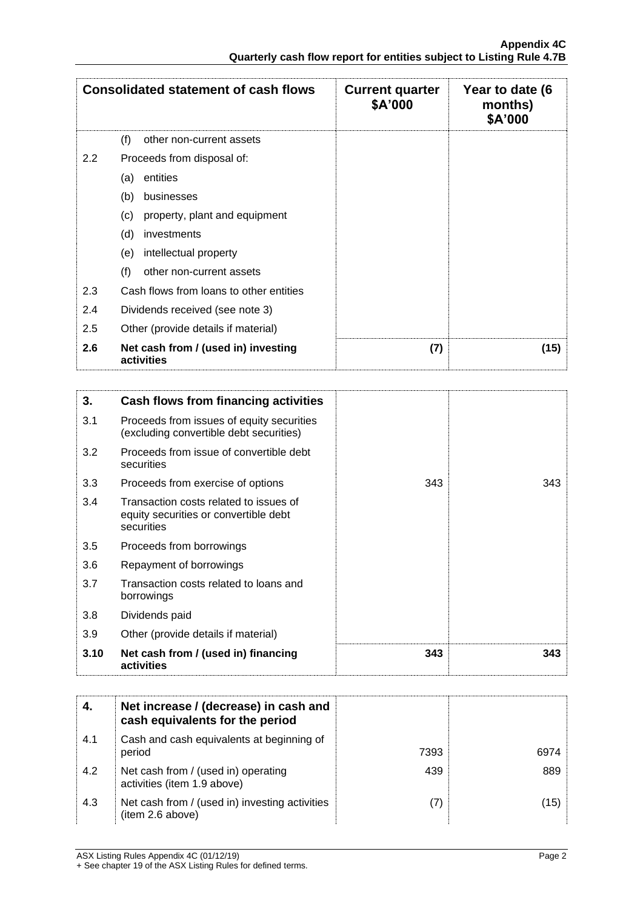|     | <b>Consolidated statement of cash flows</b>       | <b>Current quarter</b><br>\$A'000 | Year to date (6<br>months)<br>\$A'000 |
|-----|---------------------------------------------------|-----------------------------------|---------------------------------------|
|     | (f)<br>other non-current assets                   |                                   |                                       |
| 2.2 | Proceeds from disposal of:                        |                                   |                                       |
|     | entities<br>(a)                                   |                                   |                                       |
|     | (b)<br>businesses                                 |                                   |                                       |
|     | (c)<br>property, plant and equipment              |                                   |                                       |
|     | (d)<br>investments                                |                                   |                                       |
|     | intellectual property<br>(e)                      |                                   |                                       |
|     | (f)<br>other non-current assets                   |                                   |                                       |
| 2.3 | Cash flows from loans to other entities           |                                   |                                       |
| 2.4 | Dividends received (see note 3)                   |                                   |                                       |
| 2.5 | Other (provide details if material)               |                                   |                                       |
| 2.6 | Net cash from / (used in) investing<br>activities | (7)                               | (15)                                  |

| 3.   | Cash flows from financing activities                                                          |     |     |
|------|-----------------------------------------------------------------------------------------------|-----|-----|
| 3.1  | Proceeds from issues of equity securities<br>(excluding convertible debt securities)          |     |     |
| 3.2  | Proceeds from issue of convertible debt<br>securities                                         |     |     |
| 3.3  | Proceeds from exercise of options                                                             | 343 | 343 |
| 3.4  | Transaction costs related to issues of<br>equity securities or convertible debt<br>securities |     |     |
| 3.5  | Proceeds from borrowings                                                                      |     |     |
| 3.6  | Repayment of borrowings                                                                       |     |     |
| 3.7  | Transaction costs related to loans and<br>borrowings                                          |     |     |
| 3.8  | Dividends paid                                                                                |     |     |
| 3.9  | Other (provide details if material)                                                           |     |     |
| 3.10 | Net cash from / (used in) financing<br>activities                                             | 343 | 343 |

|     | Net increase / (decrease) in cash and<br>cash equivalents for the period |      |      |
|-----|--------------------------------------------------------------------------|------|------|
| 4.1 | Cash and cash equivalents at beginning of<br>period                      | 7393 | 6974 |
| 4.2 | Net cash from / (used in) operating<br>activities (item 1.9 above)       | 439  | 889  |
| 4.3 | Net cash from / (used in) investing activities<br>(item 2.6 above)       |      | (15) |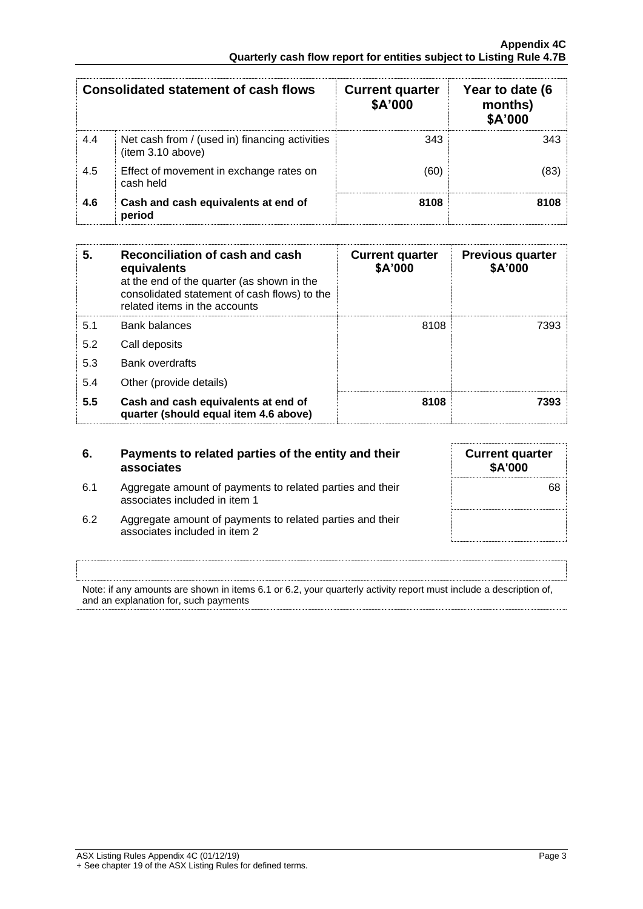|     | Consolidated statement of cash flows                               | <b>Current quarter</b><br>\$A'000 | Year to date (6<br>months)<br>\$A'000 |
|-----|--------------------------------------------------------------------|-----------------------------------|---------------------------------------|
| 4.4 | Net cash from / (used in) financing activities<br>item 3.10 above) | 343                               | 343                                   |
| 4.5 | Effect of movement in exchange rates on<br>cash held               | (60)                              | (83)                                  |
| 4.6 | Cash and cash equivalents at end of<br>period                      | 8108                              | 8108                                  |

| 5.  | Reconciliation of cash and cash<br>equivalents<br>at the end of the quarter (as shown in the<br>consolidated statement of cash flows) to the<br>related items in the accounts | <b>Current quarter</b><br>\$A'000 | <b>Previous quarter</b><br>\$A'000 |
|-----|-------------------------------------------------------------------------------------------------------------------------------------------------------------------------------|-----------------------------------|------------------------------------|
| 5.1 | <b>Bank balances</b>                                                                                                                                                          | 8108                              | 7393                               |
| 5.2 | Call deposits                                                                                                                                                                 |                                   |                                    |
| 5.3 | <b>Bank overdrafts</b>                                                                                                                                                        |                                   |                                    |
| 5.4 | Other (provide details)                                                                                                                                                       |                                   |                                    |
| 5.5 | Cash and cash equivalents at end of<br>quarter (should equal item 4.6 above)                                                                                                  | 8108                              | 7393                               |

| 6.  | Payments to related parties of the entity and their<br>associates                          | <b>Current quarter</b><br>\$A'000 |
|-----|--------------------------------------------------------------------------------------------|-----------------------------------|
| 6.1 | Aggregate amount of payments to related parties and their<br>associates included in item 1 | 68                                |
| 6.2 | Aggregate amount of payments to related parties and their<br>associates included in item 2 |                                   |

Note: if any amounts are shown in items 6.1 or 6.2, your quarterly activity report must include a description of, and an explanation for, such payments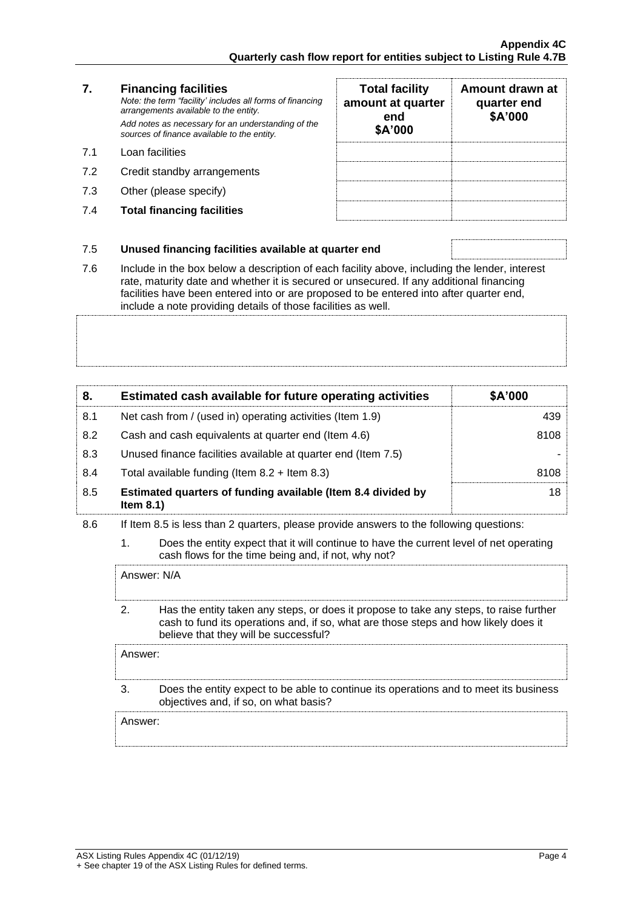### **7. Financing facilities** *Note: the term "facility' includes all forms of financing arrangements available to the entity. Add notes as necessary for an understanding of the sources of finance available to the entity.*

- 7.1 Loan facilities
- 7.2 Credit standby arrangements
- 7.3 Other (please specify)
- 7.4 **Total financing facilities**

| <b>Total facility</b><br>amount at quarter<br>end<br>\$A'000 | Amount drawn at<br>quarter end<br>\$A'000 |
|--------------------------------------------------------------|-------------------------------------------|
|                                                              |                                           |
|                                                              |                                           |
|                                                              |                                           |
|                                                              |                                           |

## 7.5 **Unused financing facilities available at quarter end**

7.6 Include in the box below a description of each facility above, including the lender, interest rate, maturity date and whether it is secured or unsecured. If any additional financing facilities have been entered into or are proposed to be entered into after quarter end, include a note providing details of those facilities as well.

| 8.  | Estimated cash available for future operating activities                     | \$A'000         |
|-----|------------------------------------------------------------------------------|-----------------|
| 8.1 | Net cash from / (used in) operating activities (Item 1.9)                    | 439             |
| 8.2 | Cash and cash equivalents at quarter end (Item 4.6)                          | 8108            |
| 8.3 | Unused finance facilities available at quarter end (Item 7.5)                |                 |
| 8.4 | Total available funding (Item $8.2 +$ Item $8.3$ )                           | 8108            |
| 8.5 | Estimated quarters of funding available (Item 8.4 divided by<br>Item $8.1$ ) | 18 <sup>1</sup> |

- 8.6 If Item 8.5 is less than 2 quarters, please provide answers to the following questions:
	- 1. Does the entity expect that it will continue to have the current level of net operating cash flows for the time being and, if not, why not?

Answer: N/A

2. Has the entity taken any steps, or does it propose to take any steps, to raise further cash to fund its operations and, if so, what are those steps and how likely does it believe that they will be successful?

Answer:

3. Does the entity expect to be able to continue its operations and to meet its business objectives and, if so, on what basis?

Answer: